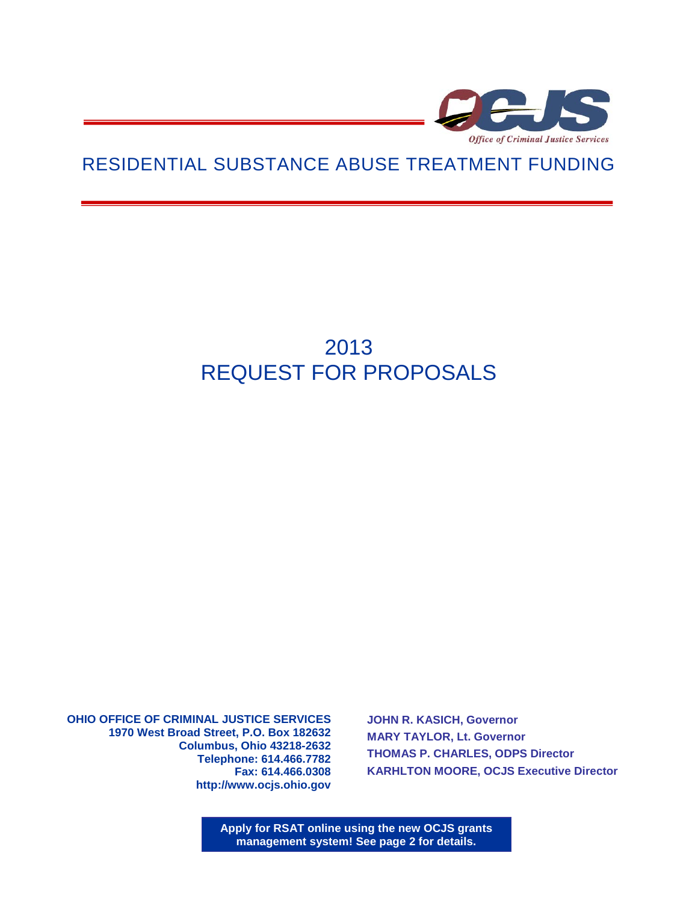

# RESIDENTIAL SUBSTANCE ABUSE TREATMENT FUNDING

# 2013 REQUEST FOR PROPOSALS

**OHIO OFFICE OF CRIMINAL JUSTICE SERVICES 1970 West Broad Street, P.O. Box 182632 Columbus, Ohio 43218-2632 Telephone: 614.466.7782 Fax: 614.466.0308 http://www.ocjs.ohio.gov** 

**JOHN R. KASICH, Governor MARY TAYLOR, Lt. Governor THOMAS P. CHARLES, ODPS Director KARHLTON MOORE, OCJS Executive Director**

**Apply for RSAT online using the new OCJS grants management system! See page 2 for details.**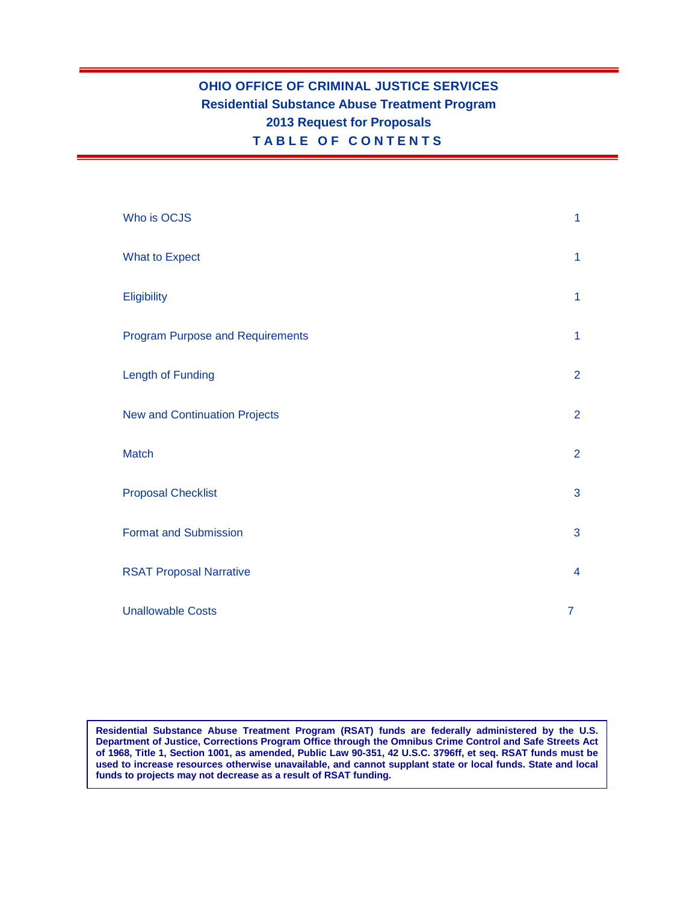# **OHIO OFFICE OF CRIMINAL JUSTICE SERVICES Residential Substance Abuse Treatment Program 2013 Request for Proposals TABLE O F C O NTENTS**

| Who is OCJS                             | 1              |
|-----------------------------------------|----------------|
| <b>What to Expect</b>                   | $\mathbf{1}$   |
| Eligibility                             | $\mathbf{1}$   |
| <b>Program Purpose and Requirements</b> | $\mathbf{1}$   |
| <b>Length of Funding</b>                | $\overline{2}$ |
| <b>New and Continuation Projects</b>    | $\overline{2}$ |
| <b>Match</b>                            | $\overline{2}$ |
| <b>Proposal Checklist</b>               | 3              |
| <b>Format and Submission</b>            | 3              |
| <b>RSAT Proposal Narrative</b>          | $\overline{4}$ |
| <b>Unallowable Costs</b>                | $\overline{7}$ |

**Residential Substance Abuse Treatment Program (RSAT) funds are federally administered by the U.S. Department of Justice, Corrections Program Office through the Omnibus Crime Control and Safe Streets Act of 1968, Title 1, Section 1001, as amended, Public Law 90-351, 42 U.S.C. 3796ff, et seq. RSAT funds must be used to increase resources otherwise unavailable, and cannot supplant state or local funds. State and local funds to projects may not decrease as a result of RSAT funding.**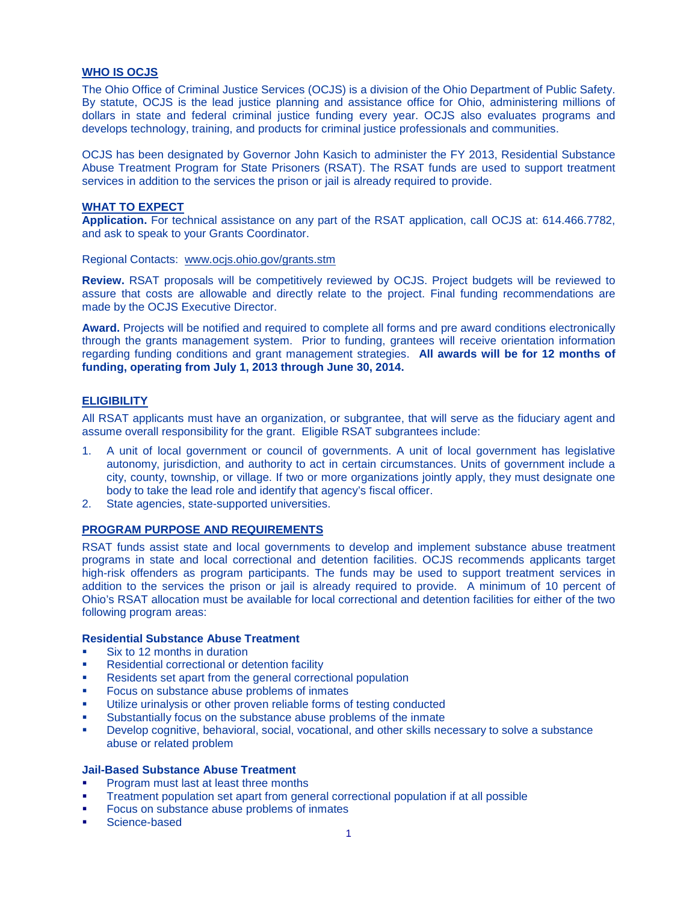#### **WHO IS OCJS**

The Ohio Office of Criminal Justice Services (OCJS) is a division of the Ohio Department of Public Safety. By statute, OCJS is the lead justice planning and assistance office for Ohio, administering millions of dollars in state and federal criminal justice funding every year. OCJS also evaluates programs and develops technology, training, and products for criminal justice professionals and communities.

OCJS has been designated by Governor John Kasich to administer the FY 2013, Residential Substance Abuse Treatment Program for State Prisoners (RSAT). The RSAT funds are used to support treatment services in addition to the services the prison or jail is already required to provide.

#### **WHAT TO EXPECT**

**Application.** For technical assistance on any part of the RSAT application, call OCJS at: 614.466.7782, and ask to speak to your Grants Coordinator.

Regional Contacts: [www.ocjs.ohio.gov/grants.stm](http://www.ocjs.ohio.gov/grants.stm)

**Review.** RSAT proposals will be competitively reviewed by OCJS. Project budgets will be reviewed to assure that costs are allowable and directly relate to the project. Final funding recommendations are made by the OCJS Executive Director.

**Award.** Projects will be notified and required to complete all forms and pre award conditions electronically through the grants management system. Prior to funding, grantees will receive orientation information regarding funding conditions and grant management strategies. **All awards will be for 12 months of funding, operating from July 1, 2013 through June 30, 2014.**

#### **ELIGIBILITY**

All RSAT applicants must have an organization, or subgrantee, that will serve as the fiduciary agent and assume overall responsibility for the grant. Eligible RSAT subgrantees include:

- 1. A unit of local government or council of governments. A unit of local government has legislative autonomy, jurisdiction, and authority to act in certain circumstances. Units of government include a city, county, township, or village. If two or more organizations jointly apply, they must designate one body to take the lead role and identify that agency's fiscal officer.
- 2. State agencies, state-supported universities.

#### **PROGRAM PURPOSE AND REQUIREMENTS**

RSAT funds assist state and local governments to develop and implement substance abuse treatment programs in state and local correctional and detention facilities. OCJS recommends applicants target high-risk offenders as program participants. The funds may be used to support treatment services in addition to the services the prison or jail is already required to provide. A minimum of 10 percent of Ohio's RSAT allocation must be available for local correctional and detention facilities for either of the two following program areas:

#### **Residential Substance Abuse Treatment**

- Six to 12 months in duration
- Residential correctional or detention facility
- Residents set apart from the general correctional population
- Focus on substance abuse problems of inmates
- Utilize urinalysis or other proven reliable forms of testing conducted
- Substantially focus on the substance abuse problems of the inmate
- Develop cognitive, behavioral, social, vocational, and other skills necessary to solve a substance abuse or related problem

#### **Jail-Based Substance Abuse Treatment**

- Program must last at least three months
- **Treatment population set apart from general correctional population if at all possible**
- Focus on substance abuse problems of inmates
- Science-based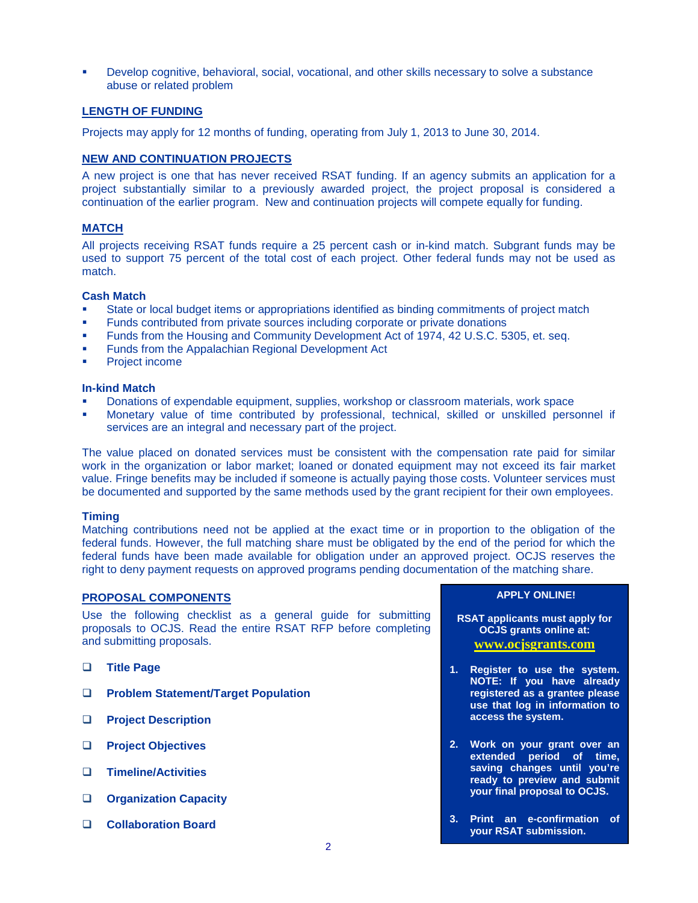Develop cognitive, behavioral, social, vocational, and other skills necessary to solve a substance abuse or related problem

#### **LENGTH OF FUNDING**

Projects may apply for 12 months of funding, operating from July 1, 2013 to June 30, 2014.

# **NEW AND CONTINUATION PROJECTS**

A new project is one that has never received RSAT funding. If an agency submits an application for a project substantially similar to a previously awarded project, the project proposal is considered a continuation of the earlier program. New and continuation projects will compete equally for funding.

### **MATCH**

All projects receiving RSAT funds require a 25 percent cash or in-kind match. Subgrant funds may be used to support 75 percent of the total cost of each project. Other federal funds may not be used as match.

#### **Cash Match**

- State or local budget items or appropriations identified as binding commitments of project match
- Funds contributed from private sources including corporate or private donations
- Funds from the Housing and Community Development Act of 1974, 42 U.S.C. 5305, et. seq.
- Funds from the Appalachian Regional Development Act
- Project income

#### **In-kind Match**

- Donations of expendable equipment, supplies, workshop or classroom materials, work space
- Monetary value of time contributed by professional, technical, skilled or unskilled personnel if services are an integral and necessary part of the project.

The value placed on donated services must be consistent with the compensation rate paid for similar work in the organization or labor market; loaned or donated equipment may not exceed its fair market value. Fringe benefits may be included if someone is actually paying those costs. Volunteer services must be documented and supported by the same methods used by the grant recipient for their own employees.

#### **Timing**

Matching contributions need not be applied at the exact time or in proportion to the obligation of the federal funds. However, the full matching share must be obligated by the end of the period for which the federal funds have been made available for obligation under an approved project. OCJS reserves the right to deny payment requests on approved programs pending documentation of the matching share.

# **PROPOSAL COMPONENTS**

Use the following checklist as a general guide for submitting proposals to OCJS. Read the entire RSAT RFP before completing and submitting proposals.

- **Title Page**
- **Problem Statement/Target Population**
- **Project Description**
- **Project Objectives**
- **Timeline/Activities**
- **Organization Capacity**
- **Collaboration Board**

#### **APPLY ONLINE!**

**RSAT applicants must apply for OCJS grants online at: [www.ocjsgrants.com](https://portals.ocjs.ohio.gov/ogss/login.aspx)**

- **1. Register to use the system. NOTE: If you have already registered as a grantee please use that log in information to access the system.**
- **2. Work on your grant over an extended period of time, saving changes until you're ready to preview and submit your final proposal to OCJS.**
- **3. Print an e-confirmation of your RSAT submission.**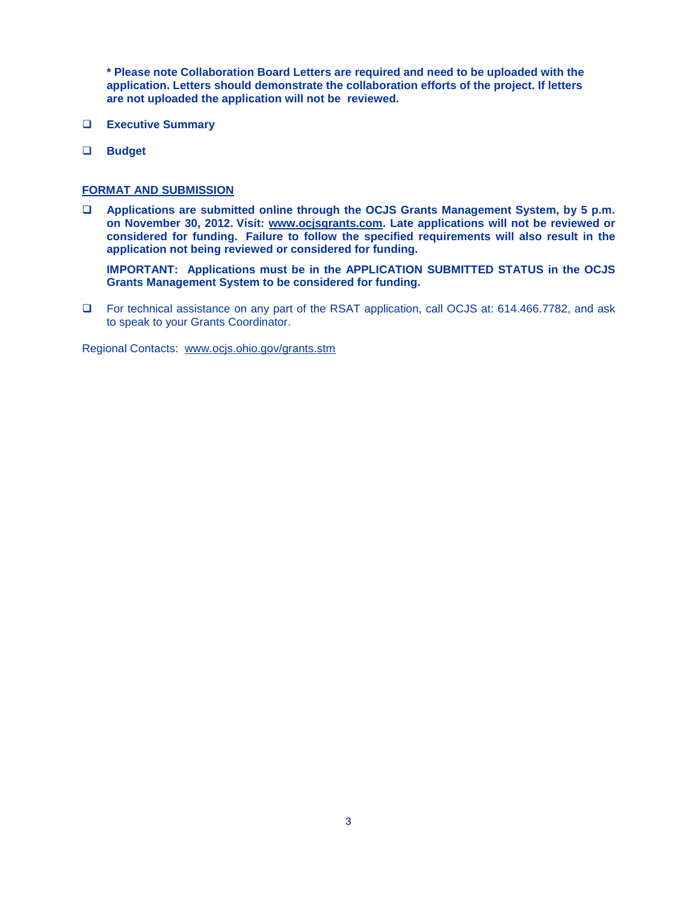**\* Please note Collaboration Board Letters are required and need to be uploaded with the application. Letters should demonstrate the collaboration efforts of the project. If letters are not uploaded the application will not be reviewed.** 

- **Executive Summary**
- **Budget**

#### **FORMAT AND SUBMISSION**

 **Applications are submitted online through the OCJS Grants Management System, by 5 p.m. on November 30, 2012. Visit: [www.ocjsgrants.com.](http://www.ocjsgrants.com/) Late applications will not be reviewed or considered for funding. Failure to follow the specified requirements will also result in the application not being reviewed or considered for funding.**

**IMPORTANT: Applications must be in the APPLICATION SUBMITTED STATUS in the OCJS Grants Management System to be considered for funding.**

 For technical assistance on any part of the RSAT application, call OCJS at: 614.466.7782, and ask to speak to your Grants Coordinator.

Regional Contacts: [www.ocjs.ohio.gov/grants.stm](http://www.ocjs.ohio.gov/grants.stm)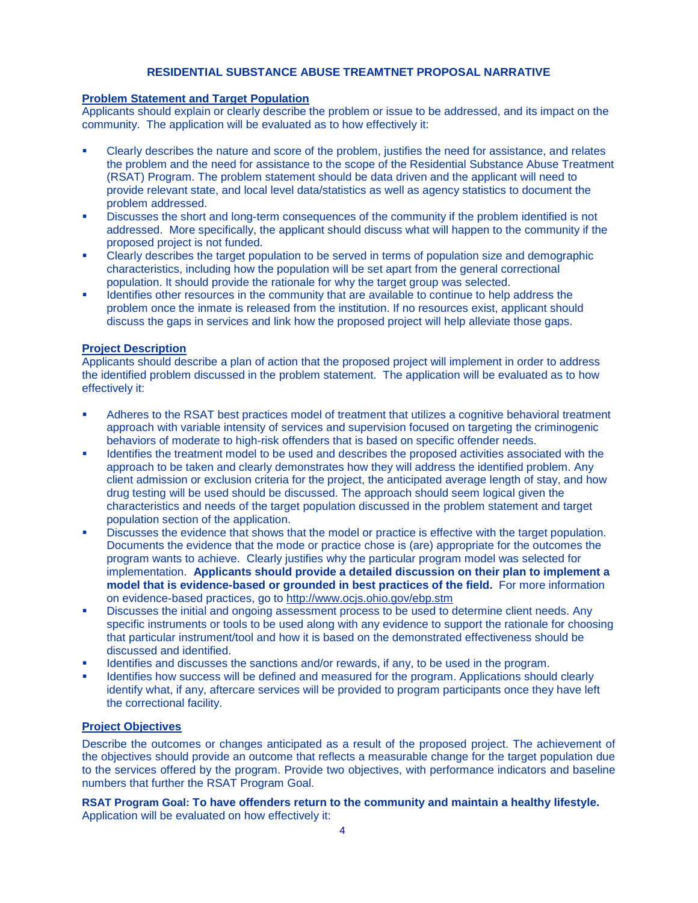# **RESIDENTIAL SUBSTANCE ABUSE TREAMTNET PROPOSAL NARRATIVE**

#### **Problem Statement and Target Population**

Applicants should explain or clearly describe the problem or issue to be addressed, and its impact on the community. The application will be evaluated as to how effectively it:

- Clearly describes the nature and score of the problem, justifies the need for assistance, and relates the problem and the need for assistance to the scope of the Residential Substance Abuse Treatment (RSAT) Program. The problem statement should be data driven and the applicant will need to provide relevant state, and local level data/statistics as well as agency statistics to document the problem addressed.
- Discusses the short and long-term consequences of the community if the problem identified is not addressed. More specifically, the applicant should discuss what will happen to the community if the proposed project is not funded.
- Clearly describes the target population to be served in terms of population size and demographic characteristics, including how the population will be set apart from the general correctional population. It should provide the rationale for why the target group was selected.
- Identifies other resources in the community that are available to continue to help address the problem once the inmate is released from the institution. If no resources exist, applicant should discuss the gaps in services and link how the proposed project will help alleviate those gaps.

#### **Project Description**

Applicants should describe a plan of action that the proposed project will implement in order to address the identified problem discussed in the problem statement. The application will be evaluated as to how effectively it:

- Adheres to the RSAT best practices model of treatment that utilizes a cognitive behavioral treatment approach with variable intensity of services and supervision focused on targeting the criminogenic behaviors of moderate to high-risk offenders that is based on specific offender needs.
- Identifies the treatment model to be used and describes the proposed activities associated with the approach to be taken and clearly demonstrates how they will address the identified problem. Any client admission or exclusion criteria for the project, the anticipated average length of stay, and how drug testing will be used should be discussed. The approach should seem logical given the characteristics and needs of the target population discussed in the problem statement and target population section of the application.
- Discusses the evidence that shows that the model or practice is effective with the target population. Documents the evidence that the mode or practice chose is (are) appropriate for the outcomes the program wants to achieve. Clearly justifies why the particular program model was selected for implementation. **Applicants should provide a detailed discussion on their plan to implement a model that is evidence-based or grounded in best practices of the field.** For more information on evidence-based practices, go to <http://www.ocjs.ohio.gov/ebp.stm>
- Discusses the initial and ongoing assessment process to be used to determine client needs. Any specific instruments or tools to be used along with any evidence to support the rationale for choosing that particular instrument/tool and how it is based on the demonstrated effectiveness should be discussed and identified.
- Identifies and discusses the sanctions and/or rewards, if any, to be used in the program.
- Identifies how success will be defined and measured for the program. Applications should clearly identify what, if any, aftercare services will be provided to program participants once they have left the correctional facility.

# **Project Objectives**

Describe the outcomes or changes anticipated as a result of the proposed project. The achievement of the objectives should provide an outcome that reflects a measurable change for the target population due to the services offered by the program. Provide two objectives, with performance indicators and baseline numbers that further the RSAT Program Goal.

**RSAT Program Goal: To have offenders return to the community and maintain a healthy lifestyle.** Application will be evaluated on how effectively it: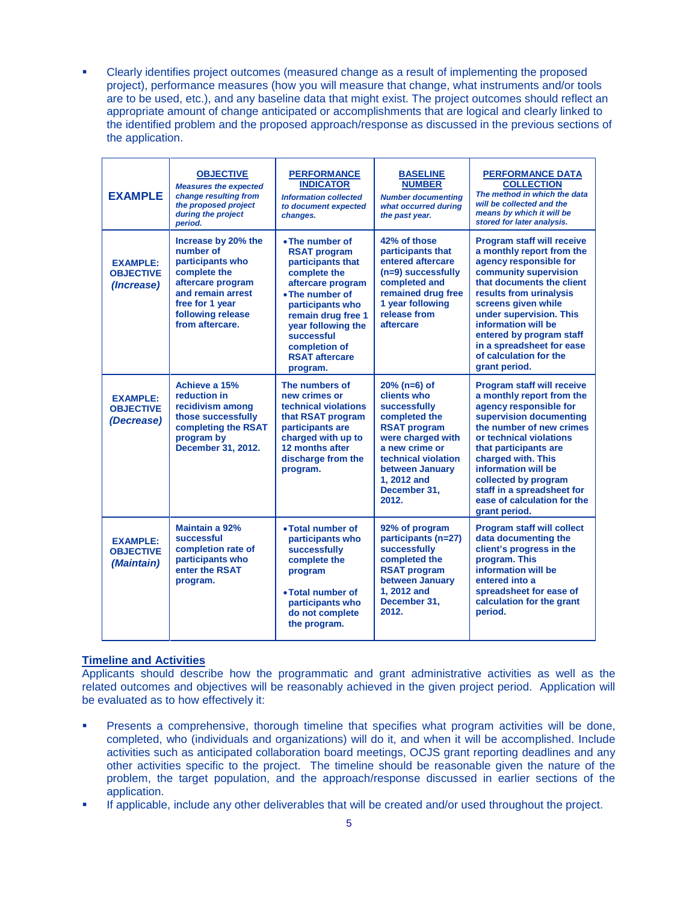Clearly identifies project outcomes (measured change as a result of implementing the proposed project), performance measures (how you will measure that change, what instruments and/or tools are to be used, etc.), and any baseline data that might exist. The project outcomes should reflect an appropriate amount of change anticipated or accomplishments that are logical and clearly linked to the identified problem and the proposed approach/response as discussed in the previous sections of the application.

| <b>EXAMPLE</b>                                    | <b>OBJECTIVE</b><br><b>Measures the expected</b><br>change resulting from<br>the proposed project<br>during the project<br>period.                                        | <b>PERFORMANCE</b><br><b>INDICATOR</b><br><b>Information collected</b><br>to document expected<br>changes.                                                                                                                                              | <b>BASELINE</b><br><b>NUMBER</b><br><b>Number documenting</b><br>what occurred during<br>the past year.                                                                                                        | <b>PERFORMANCE DATA</b><br><b>COLLECTION</b><br>The method in which the data<br>will be collected and the<br>means by which it will be<br>stored for later analysis.                                                                                                                                                                                   |
|---------------------------------------------------|---------------------------------------------------------------------------------------------------------------------------------------------------------------------------|---------------------------------------------------------------------------------------------------------------------------------------------------------------------------------------------------------------------------------------------------------|----------------------------------------------------------------------------------------------------------------------------------------------------------------------------------------------------------------|--------------------------------------------------------------------------------------------------------------------------------------------------------------------------------------------------------------------------------------------------------------------------------------------------------------------------------------------------------|
| <b>EXAMPLE:</b><br><b>OBJECTIVE</b><br>(Increase) | Increase by 20% the<br>number of<br>participants who<br>complete the<br>aftercare program<br>and remain arrest<br>free for 1 year<br>following release<br>from aftercare. | • The number of<br><b>RSAT program</b><br>participants that<br>complete the<br>aftercare program<br>• The number of<br>participants who<br>remain drug free 1<br>year following the<br>successful<br>completion of<br><b>RSAT aftercare</b><br>program. | 42% of those<br>participants that<br>entered aftercare<br>(n=9) successfully<br>completed and<br>remained drug free<br>1 year following<br>release from<br>aftercare                                           | <b>Program staff will receive</b><br>a monthly report from the<br>agency responsible for<br>community supervision<br>that documents the client<br>results from urinalysis<br>screens given while<br>under supervision. This<br>information will be<br>entered by program staff<br>in a spreadsheet for ease<br>of calculation for the<br>grant period. |
| <b>EXAMPLE:</b><br><b>OBJECTIVE</b><br>(Decrease) | Achieve a 15%<br>reduction in<br>recidivism among<br>those successfully<br>completing the RSAT<br>program by<br>December 31, 2012.                                        | The numbers of<br>new crimes or<br>technical violations<br>that RSAT program<br>participants are<br>charged with up to<br>12 months after<br>discharge from the<br>program.                                                                             | $20%$ (n=6) of<br>clients who<br>successfully<br>completed the<br><b>RSAT program</b><br>were charged with<br>a new crime or<br>technical violation<br>between January<br>1, 2012 and<br>December 31.<br>2012. | <b>Program staff will receive</b><br>a monthly report from the<br>agency responsible for<br>supervision documenting<br>the number of new crimes<br>or technical violations<br>that participants are<br>charged with. This<br>information will be<br>collected by program<br>staff in a spreadsheet for<br>ease of calculation for the<br>grant period. |
| <b>EXAMPLE:</b><br><b>OBJECTIVE</b><br>(Maintain) | Maintain a 92%<br>successful<br>completion rate of<br>participants who<br>enter the RSAT<br>program.                                                                      | • Total number of<br>participants who<br>successfully<br>complete the<br>program<br>• Total number of<br>participants who<br>do not complete<br>the program.                                                                                            | 92% of program<br>participants (n=27)<br>successfully<br>completed the<br><b>RSAT program</b><br>between January<br>1.2012 and<br>December 31,<br>2012.                                                        | <b>Program staff will collect</b><br>data documenting the<br>client's progress in the<br>program. This<br>information will be<br>entered into a<br>spreadsheet for ease of<br>calculation for the grant<br>period.                                                                                                                                     |

# **Timeline and Activities**

Applicants should describe how the programmatic and grant administrative activities as well as the related outcomes and objectives will be reasonably achieved in the given project period. Application will be evaluated as to how effectively it:

- Presents a comprehensive, thorough timeline that specifies what program activities will be done, completed, who (individuals and organizations) will do it, and when it will be accomplished. Include activities such as anticipated collaboration board meetings, OCJS grant reporting deadlines and any other activities specific to the project. The timeline should be reasonable given the nature of the problem, the target population, and the approach/response discussed in earlier sections of the application.
- If applicable, include any other deliverables that will be created and/or used throughout the project.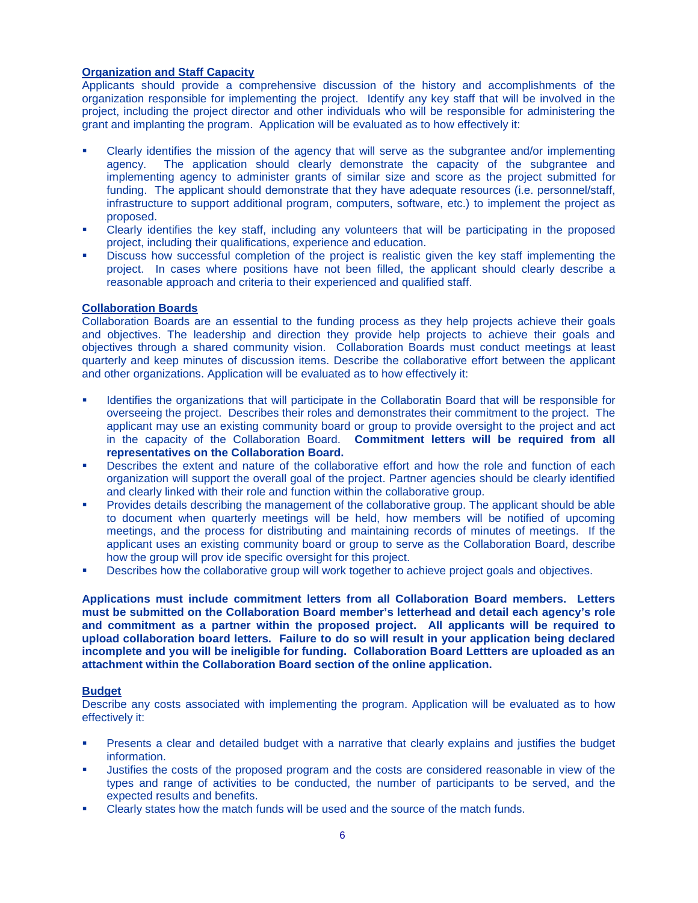# **Organization and Staff Capacity**

Applicants should provide a comprehensive discussion of the history and accomplishments of the organization responsible for implementing the project. Identify any key staff that will be involved in the project, including the project director and other individuals who will be responsible for administering the grant and implanting the program. Application will be evaluated as to how effectively it:

- Clearly identifies the mission of the agency that will serve as the subgrantee and/or implementing agency. The application should clearly demonstrate the capacity of the subgrantee and implementing agency to administer grants of similar size and score as the project submitted for funding. The applicant should demonstrate that they have adequate resources (i.e. personnel/staff, infrastructure to support additional program, computers, software, etc.) to implement the project as proposed.
- Clearly identifies the key staff, including any volunteers that will be participating in the proposed project, including their qualifications, experience and education.
- Discuss how successful completion of the project is realistic given the key staff implementing the project. In cases where positions have not been filled, the applicant should clearly describe a reasonable approach and criteria to their experienced and qualified staff.

# **Collaboration Boards**

Collaboration Boards are an essential to the funding process as they help projects achieve their goals and objectives. The leadership and direction they provide help projects to achieve their goals and objectives through a shared community vision. Collaboration Boards must conduct meetings at least quarterly and keep minutes of discussion items. Describe the collaborative effort between the applicant and other organizations. Application will be evaluated as to how effectively it:

- Identifies the organizations that will participate in the Collaboratin Board that will be responsible for overseeing the project. Describes their roles and demonstrates their commitment to the project. The applicant may use an existing community board or group to provide oversight to the project and act in the capacity of the Collaboration Board. **Commitment letters will be required from all representatives on the Collaboration Board.**
- Describes the extent and nature of the collaborative effort and how the role and function of each organization will support the overall goal of the project. Partner agencies should be clearly identified and clearly linked with their role and function within the collaborative group.
- Provides details describing the management of the collaborative group. The applicant should be able to document when quarterly meetings will be held, how members will be notified of upcoming meetings, and the process for distributing and maintaining records of minutes of meetings. If the applicant uses an existing community board or group to serve as the Collaboration Board, describe how the group will prov ide specific oversight for this project.
- Describes how the collaborative group will work together to achieve project goals and objectives.

**Applications must include commitment letters from all Collaboration Board members. Letters must be submitted on the Collaboration Board member's letterhead and detail each agency's role and commitment as a partner within the proposed project. All applicants will be required to upload collaboration board letters. Failure to do so will result in your application being declared incomplete and you will be ineligible for funding. Collaboration Board Lettters are uploaded as an attachment within the Collaboration Board section of the online application.** 

# **Budget**

Describe any costs associated with implementing the program. Application will be evaluated as to how effectively it:

- Presents a clear and detailed budget with a narrative that clearly explains and justifies the budget information.
- Justifies the costs of the proposed program and the costs are considered reasonable in view of the types and range of activities to be conducted, the number of participants to be served, and the expected results and benefits.
- Clearly states how the match funds will be used and the source of the match funds.